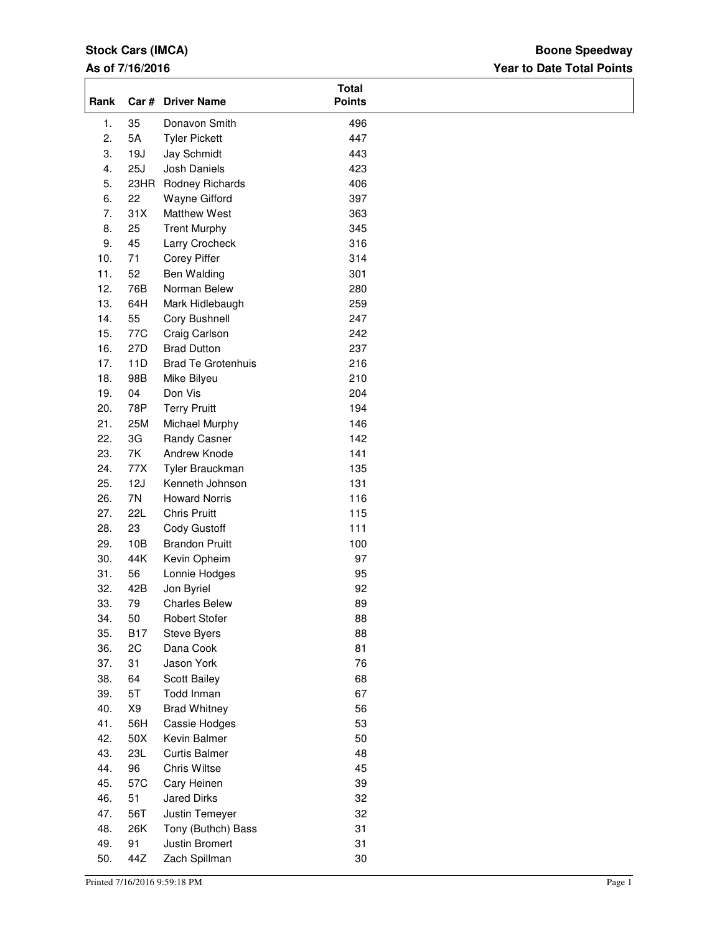# **Stock Cars (IMCA)**

#### **As of 7/16/2016**

## **Year to Date Total Points Boone Speedway**

| Rank |            | Car # Driver Name         | <b>Total</b><br><b>Points</b> |  |
|------|------------|---------------------------|-------------------------------|--|
| 1.   | 35         | Donavon Smith             | 496                           |  |
| 2.   | 5A         | <b>Tyler Pickett</b>      | 447                           |  |
| 3.   | 19J        | Jay Schmidt               | 443                           |  |
| 4.   | 25J        | Josh Daniels              | 423                           |  |
| 5.   | 23HR       | Rodney Richards           | 406                           |  |
| 6.   | 22         | Wayne Gifford             | 397                           |  |
| 7.   | 31X        | Matthew West              | 363                           |  |
| 8.   | 25         | <b>Trent Murphy</b>       | 345                           |  |
| 9.   | 45         | Larry Crocheck            | 316                           |  |
| 10.  | 71         | Corey Piffer              | 314                           |  |
| 11.  | 52         | Ben Walding               | 301                           |  |
| 12.  | 76B        | Norman Belew              | 280                           |  |
| 13.  | 64H        | Mark Hidlebaugh           | 259                           |  |
| 14.  | 55         | Cory Bushnell             | 247                           |  |
| 15.  | 77C        | Craig Carlson             | 242                           |  |
| 16.  | 27D        | <b>Brad Dutton</b>        | 237                           |  |
| 17.  | 11D        | <b>Brad Te Grotenhuis</b> | 216                           |  |
| 18.  | 98B        | Mike Bilyeu               | 210                           |  |
| 19.  | 04         | Don Vis                   | 204                           |  |
| 20.  | 78P        | <b>Terry Pruitt</b>       | 194                           |  |
| 21.  | 25M        | Michael Murphy            | 146                           |  |
| 22.  | 3G         | Randy Casner              | 142                           |  |
| 23.  | 7K         | Andrew Knode              | 141                           |  |
| 24.  | 77X        | Tyler Brauckman           | 135                           |  |
| 25.  | 12J        | Kenneth Johnson           | 131                           |  |
| 26.  | 7N         | <b>Howard Norris</b>      | 116                           |  |
| 27.  | <b>22L</b> | <b>Chris Pruitt</b>       | 115                           |  |
| 28.  | 23         | Cody Gustoff              | 111                           |  |
| 29.  | 10B        | <b>Brandon Pruitt</b>     | 100                           |  |
| 30.  | 44K        | Kevin Opheim              | 97                            |  |
| 31.  | 56         | Lonnie Hodges             | 95                            |  |
| 32.  | 42B        | Jon Byriel                | 92                            |  |
| 33.  | 79         | <b>Charles Belew</b>      | 89                            |  |
| 34.  | 50         | <b>Robert Stofer</b>      | 88                            |  |
| 35.  | <b>B17</b> | Steve Byers               | 88                            |  |
| 36.  | 2C         | Dana Cook                 | 81                            |  |
| 37.  | 31         | Jason York                | 76                            |  |
| 38.  | 64         | Scott Bailey              | 68                            |  |
| 39.  | 5T         | Todd Inman                | 67                            |  |
| 40.  | X9         | <b>Brad Whitney</b>       | 56                            |  |
| 41.  | 56H        | Cassie Hodges             | 53                            |  |
| 42.  | 50X        | Kevin Balmer              | 50                            |  |
| 43.  | <b>23L</b> | <b>Curtis Balmer</b>      | 48                            |  |
| 44.  | 96         | Chris Wiltse              | 45                            |  |
| 45.  | 57C        | Cary Heinen               | 39                            |  |
| 46.  | 51         | <b>Jared Dirks</b>        | 32                            |  |
| 47.  | 56T        | Justin Temeyer            | 32                            |  |
| 48.  | 26K        | Tony (Buthch) Bass        | 31                            |  |
| 49.  | 91         | Justin Bromert            | 31                            |  |
| 50.  | 44Z        | Zach Spillman             | 30                            |  |